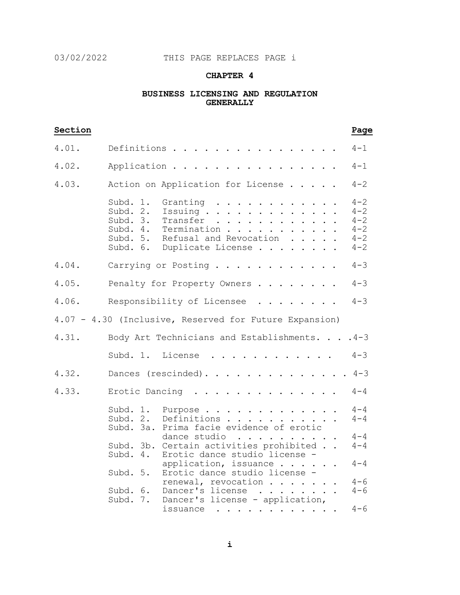## 03/02/2022 THIS PAGE REPLACES PAGE i

## **CHAPTER 4**

### **BUSINESS LICENSING AND REGULATION GENERALLY**

| Section |                                                                                                                                                                                                                                                                         | Page                                                           |
|---------|-------------------------------------------------------------------------------------------------------------------------------------------------------------------------------------------------------------------------------------------------------------------------|----------------------------------------------------------------|
| 4.01.   | Definitions                                                                                                                                                                                                                                                             | $4 - 1$                                                        |
| 4.02.   | Application                                                                                                                                                                                                                                                             | $4 - 1$                                                        |
| 4.03.   | Action on Application for License                                                                                                                                                                                                                                       | $4 - 2$                                                        |
|         | Subd.<br>1.<br>Granting<br>Subd. 2.<br>Issuing<br>Subd. 3.<br>Transfer<br>.<br>Termination<br>Subd. 4.<br>Subd. 5.<br>Refusal and Revocation<br>Duplicate License<br>Subd. 6.                                                                                           | $4 - 2$<br>$4 - 2$<br>$4 - 2$<br>$4 - 2$<br>$4 - 2$<br>$4 - 2$ |
| 4.04.   | Carrying or Posting                                                                                                                                                                                                                                                     | $4 - 3$                                                        |
| 4.05.   | Penalty for Property Owners                                                                                                                                                                                                                                             | $4 - 3$                                                        |
| 4.06.   | Responsibility of Licensee<br>$\cdot$ $\cdot$ $\cdot$ $\cdot$ $\cdot$ $\cdot$ $\cdot$                                                                                                                                                                                   | $4 - 3$                                                        |
|         | 4.07 - 4.30 (Inclusive, Reserved for Future Expansion)                                                                                                                                                                                                                  |                                                                |
| 4.31.   | Body Art Technicians and Establishments.                                                                                                                                                                                                                                | $.4 - 3$                                                       |
|         | Subd. 1. License<br>$\cdot$                                                                                                                                                                                                                                             | $4 - 3$                                                        |
| 4.32.   | Dances (rescinded).                                                                                                                                                                                                                                                     | $4 - 3$                                                        |
| 4.33.   | Erotic Dancing<br>$\cdot$ $\cdot$ $\cdot$ $\cdot$ $\cdot$ $\cdot$ $\cdot$                                                                                                                                                                                               | $4 - 4$                                                        |
|         | Subd. 1.<br>Purpose<br>Subd. 2.<br>Definitions.<br>.<br>Prima facie evidence of erotic<br>Subd. 3a.                                                                                                                                                                     | $4 - 4$<br>$4 - 4$                                             |
|         | dance studio<br>$\begin{array}{cccccccccccccccccc} . & . & . & . & . & . & . & . & . & . & . & . \end{array}$<br>Subd. 3b. Certain activities prohibited<br>Subd. 4.<br>Erotic dance studio license -                                                                   | $4 - 4$<br>$4 - 4$                                             |
|         | application, issuance<br>Erotic dance studio license -<br>Subd. 5.                                                                                                                                                                                                      | $4 - 4$                                                        |
|         | renewal, revocation<br>Dancer's license<br>Subd. 6.<br>$\begin{array}{cccccccccccccc} \bullet & \bullet & \bullet & \bullet & \bullet & \bullet & \bullet & \bullet & \bullet & \bullet & \bullet & \bullet \end{array}$<br>Dancer's license - application,<br>Subd. 7. | $4 - 6$<br>$4 - 6$                                             |
|         | issuance $\dots \dots \dots$                                                                                                                                                                                                                                            | $4 - 6$                                                        |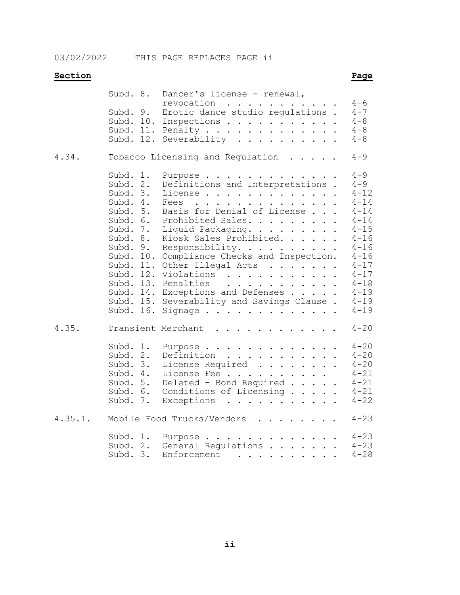03/02/2022 THIS PAGE REPLACES PAGE ii

# **Section Page**

|         | Subd. 8.                                                                                                                                                                       | Dancer's license - renewal,                                                                                                                                                                                                                                                                                                                                                      | $4 - 6$                                                                                                                                                                                    |
|---------|--------------------------------------------------------------------------------------------------------------------------------------------------------------------------------|----------------------------------------------------------------------------------------------------------------------------------------------------------------------------------------------------------------------------------------------------------------------------------------------------------------------------------------------------------------------------------|--------------------------------------------------------------------------------------------------------------------------------------------------------------------------------------------|
|         | Subd. 9.<br>Subd. 12.                                                                                                                                                          | revocation<br>Erotic dance studio regulations.<br>Subd. 10. Inspections<br>Subd. 11. Penalty<br>Severability                                                                                                                                                                                                                                                                     | $4 - 7$<br>$4 - 8$<br>$4 - 8$<br>$4 - 8$                                                                                                                                                   |
| 4.34.   |                                                                                                                                                                                | Tobacco Licensing and Regulation                                                                                                                                                                                                                                                                                                                                                 | $4 - 9$                                                                                                                                                                                    |
|         | Subd.<br>1.<br>Subd.<br>$2$ .<br>Subd. 3.<br>Subd. 4.<br>Subd. 5.<br>Subd. 6.<br>Subd. 7.<br>Subd. 8.<br>Subd. 9.<br>Subd. 10.<br>Subd. 11.<br>Subd.<br>Subd. 13.<br>Subd. 15. | Purpose<br>Definitions and Interpretations.<br>License<br>Fees<br>Basis for Denial of License<br>Prohibited Sales.<br>Liquid Packaging.<br>Kiosk Sales Prohibited.<br>Responsibility.<br>Compliance Checks and Inspection.<br>Other Illegal Acts<br>12.<br>Violations<br>Penalties<br>Subd. 14. Exceptions and Defenses<br>Severability and Savings Clause.<br>Subd. 16. Signage | $4 - 9$<br>$4 - 9$<br>$4 - 12$<br>$4 - 14$<br>$4 - 14$<br>$4 - 14$<br>$4 - 15$<br>$4 - 16$<br>$4 - 16$<br>$4 - 16$<br>$4 - 17$<br>$4 - 17$<br>$4 - 18$<br>$4 - 19$<br>$4 - 19$<br>$4 - 19$ |
| 4.35.   |                                                                                                                                                                                | Transient Merchant<br>.                                                                                                                                                                                                                                                                                                                                                          | $4 - 20$                                                                                                                                                                                   |
|         | Subd. 1.<br>Subd. 2.<br>Subd. 3.<br>Subd. 4.<br>Subd. 5.<br>Subd. 6.<br>Subd. 7.                                                                                               | Purpose<br>Definition<br>License Required<br>License Fee<br>Deleted - Bond Required<br>Conditions of Licensing<br>Exceptions                                                                                                                                                                                                                                                     | $4 - 20$<br>$4 - 20$<br>$4 - 20$<br>$4 - 21$<br>$4 - 21$<br>$4 - 21$<br>$4 - 22$                                                                                                           |
| 4.35.1. |                                                                                                                                                                                | $\mathbf{r}$ and $\mathbf{r}$ and $\mathbf{r}$ and $\mathbf{r}$ and $\mathbf{r}$<br>Mobile Food Trucks/Vendors                                                                                                                                                                                                                                                                   | $4 - 23$                                                                                                                                                                                   |
|         | Subd. 1.<br>Subd. 2.<br>Subd. 3.                                                                                                                                               | Purpose<br>General Regulations<br>Enforcement                                                                                                                                                                                                                                                                                                                                    | $4 - 23$<br>$4 - 23$<br>$4 - 28$                                                                                                                                                           |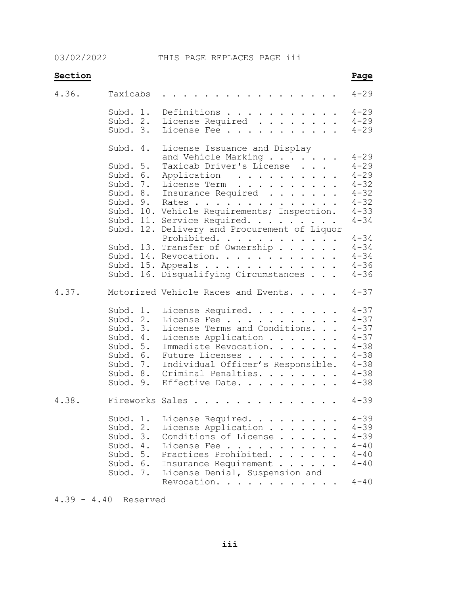03/02/2022 THIS PAGE REPLACES PAGE iii

| Section |                                                                                                          |                                                                                                                                                                                                                                                                                                               | Page                                                                                                     |
|---------|----------------------------------------------------------------------------------------------------------|---------------------------------------------------------------------------------------------------------------------------------------------------------------------------------------------------------------------------------------------------------------------------------------------------------------|----------------------------------------------------------------------------------------------------------|
| 4.36.   | Taxicabs                                                                                                 |                                                                                                                                                                                                                                                                                                               | $4 - 29$                                                                                                 |
|         | Subd. 1.<br>Subd. 2.<br>Subd. 3.                                                                         | Definitions<br>License Required<br>License Fee                                                                                                                                                                                                                                                                | $4 - 29$<br>$4 - 29$<br>$4 - 29$                                                                         |
|         | Subd. 4.                                                                                                 | License Issuance and Display<br>and Vehicle Marking<br>Taxicab Driver's License                                                                                                                                                                                                                               | $4 - 29$                                                                                                 |
|         | Subd. 5.<br>Subd. 6.<br>Subd. 7.<br>Subd. 9.                                                             | Application<br>License Term<br>Subd. 8. Insurance Required<br>Rates<br>Subd. 10. Vehicle Requirements; Inspection.<br>Subd. 11. Service Required.<br>Subd. 12. Delivery and Procurement of Liquor                                                                                                             | $4 - 29$<br>$4 - 29$<br>$4 - 32$<br>$4 - 32$<br>$4 - 32$<br>$4 - 33$<br>$4 - 34$                         |
|         |                                                                                                          | Prohibited.<br>Subd. 13. Transfer of Ownership<br>Subd. 14. Revocation.<br>Subd. 15. Appeals<br>Subd. 16. Disqualifying Circumstances                                                                                                                                                                         | $4 - 34$<br>$4 - 34$<br>$4 - 34$<br>$4 - 36$<br>$4 - 36$                                                 |
| 4.37.   |                                                                                                          | Motorized Vehicle Races and Events.                                                                                                                                                                                                                                                                           | $4 - 37$                                                                                                 |
|         | Subd. 1.<br>Subd. 2.<br>Subd. 3.<br>Subd. 4.<br>Subd. 5.<br>Subd. 6.<br>Subd. 7.<br>Subd. 8.<br>Subd. 9. | License Required.<br>License Fee<br>License Terms and Conditions.<br>License Application<br>Immediate Revocation.<br>Future Licenses<br>Individual Officer's Responsible.<br>Criminal Penalties.<br>Effective Date.                                                                                           | $4 - 37$<br>$4 - 37$<br>$4 - 37$<br>$4 - 37$<br>$4 - 38$<br>$4 - 38$<br>$4 - 38$<br>$4 - 38$<br>$4 - 38$ |
| 4.38.   |                                                                                                          | Fireworks Sales                                                                                                                                                                                                                                                                                               | $4 - 39$                                                                                                 |
|         | Subd. 1.<br>Subd. 2.<br>Subd. 3.<br>Subd. 4.<br>Subd. 5.<br>Subd. 6.<br>Subd. 7.                         | License Required.<br>License Application .<br>Conditions of License.<br>$\mathbf{L}$<br>$\mathbf{r}$<br>License Fee<br>Practices Prohibited.<br>$\mathbf{r}$ , $\mathbf{r}$ , $\mathbf{r}$<br>$\sim$<br>Insurance Requirement .<br>$\mathbf{L}^{\text{max}}$<br>License Denial, Suspension and<br>Revocation. | $4 - 39$<br>$4 - 39$<br>$4 - 39$<br>$4 - 40$<br>$4 - 40$<br>$4 - 40$<br>$4 - 40$                         |

4.39 - 4.40 Reserved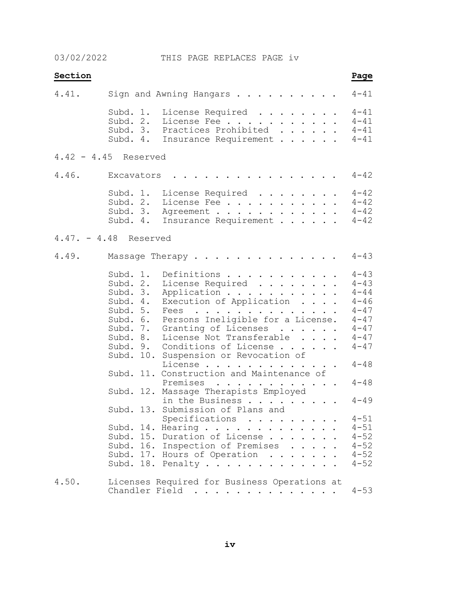03/02/2022 THIS PAGE REPLACES PAGE iv

| Section |                                                                                                                                                                                                 | Page                                                                 |
|---------|-------------------------------------------------------------------------------------------------------------------------------------------------------------------------------------------------|----------------------------------------------------------------------|
| 4.41.   | Sign and Awning Hangars                                                                                                                                                                         | $4 - 41$                                                             |
|         | Subd. 1.<br>License Required<br>Subd. 2.<br>License Fee<br>Subd. 3. Practices Prohibited<br>Subd. 4.<br>Insurance Requirement                                                                   | $4 - 41$<br>$4 - 41$<br>$4 - 41$<br>$4 - 41$                         |
|         | 4.42 - 4.45 Reserved                                                                                                                                                                            |                                                                      |
| 4.46.   | Excavators                                                                                                                                                                                      | $4 - 42$                                                             |
|         | Subd. 1.<br>License Required<br>Subd. 2.<br>License Fee<br>Subd. 3.<br>Agreement<br>Subd. 4.<br>Insurance Requirement                                                                           | $4 - 42$<br>$4 - 42$<br>$4 - 42$<br>$4 - 42$                         |
|         | $4.47. - 4.48$ Reserved                                                                                                                                                                         |                                                                      |
| 4.49.   | Massage Therapy                                                                                                                                                                                 | $4 - 43$                                                             |
|         | Definitions<br>Subd. 1.<br>Subd. 2.<br>License Required<br>Subd. 3.<br>Application<br>Execution of Application<br>Subd. 4.<br>Subd. 5.<br>Fees<br>Persons Ineligible for a License.<br>Subd. 6. | $4 - 43$<br>$4 - 43$<br>$4 - 44$<br>$4 - 46$<br>$4 - 47$<br>$4 - 47$ |
|         | Subd. 7.<br>Granting of Licenses<br>Subd. 8.<br>License Not Transferable<br>Subd. 9.<br>Conditions of License<br>Subd. 10.<br>Suspension or Revocation of                                       | $4 - 47$<br>$4 - 47$<br>$4 - 47$                                     |
|         | License<br>Subd. 11. Construction and Maintenance of                                                                                                                                            | $4 - 48$<br>$4 - 48$                                                 |
|         | Premises<br>Subd. 12. Massage Therapists Employed<br>in the Business                                                                                                                            | $4 - 49$                                                             |
|         | Subd. 13. Submission of Plans and<br>Specifications                                                                                                                                             | $4 - 51$                                                             |
|         | Subd. 14. Hearing<br>Subd. 15. Duration of License<br>Subd. 16. Inspection of Premises<br>Subd. 17. Hours of Operation<br>Subd. 18. Penalty                                                     | $4 - 51$<br>$4 - 52$<br>$4 - 52$<br>$4 - 52$<br>$4 - 52$             |
| 4.50.   | Licenses Required for Business Operations at<br>Chandler Field                                                                                                                                  | $4 - 53$                                                             |